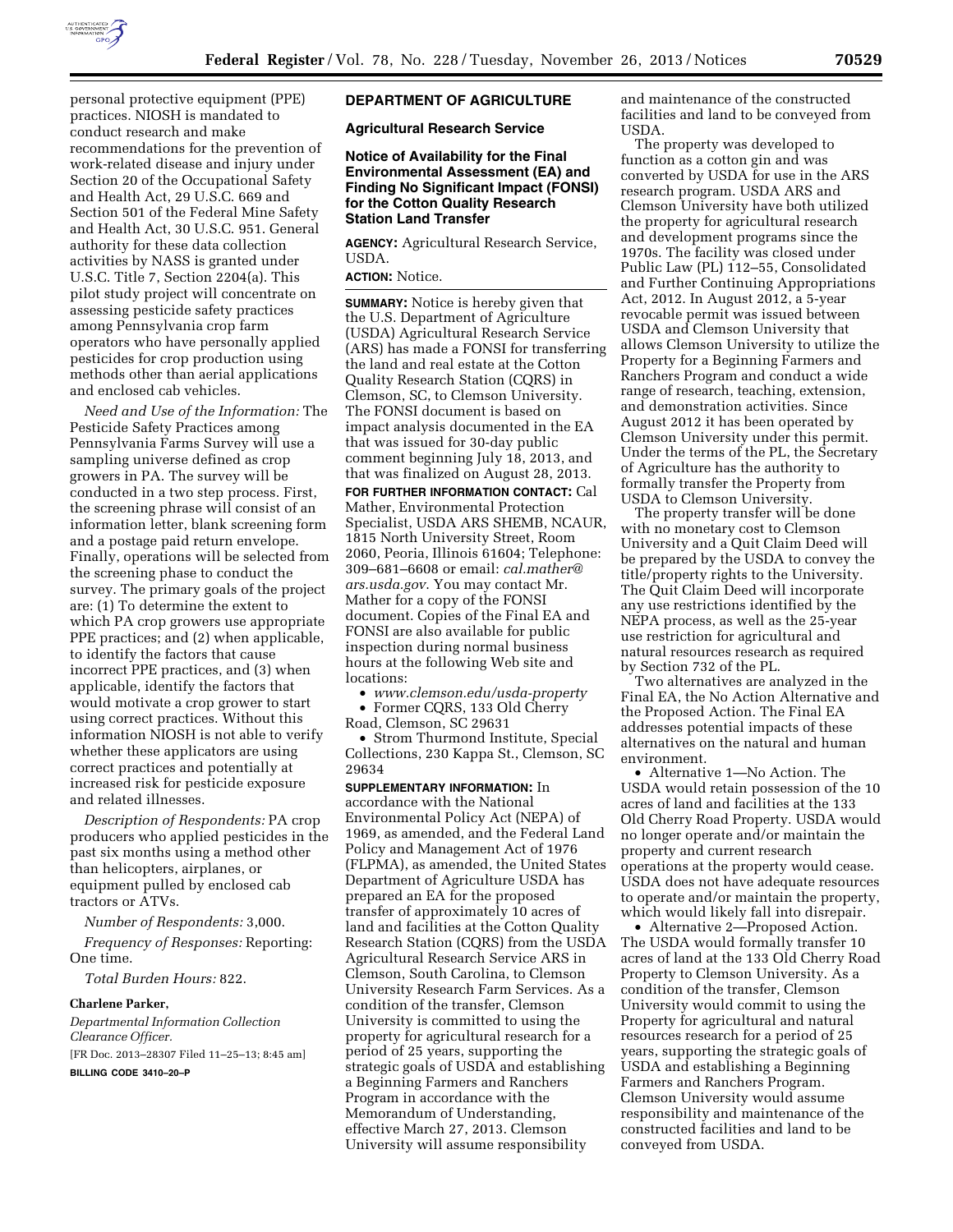

personal protective equipment (PPE) practices. NIOSH is mandated to conduct research and make recommendations for the prevention of work-related disease and injury under Section 20 of the Occupational Safety and Health Act, 29 U.S.C. 669 and Section 501 of the Federal Mine Safety and Health Act, 30 U.S.C. 951. General authority for these data collection activities by NASS is granted under U.S.C. Title 7, Section 2204(a). This pilot study project will concentrate on assessing pesticide safety practices among Pennsylvania crop farm operators who have personally applied pesticides for crop production using methods other than aerial applications and enclosed cab vehicles.

*Need and Use of the Information:* The Pesticide Safety Practices among Pennsylvania Farms Survey will use a sampling universe defined as crop growers in PA. The survey will be conducted in a two step process. First, the screening phrase will consist of an information letter, blank screening form and a postage paid return envelope. Finally, operations will be selected from the screening phase to conduct the survey. The primary goals of the project are: (1) To determine the extent to which PA crop growers use appropriate PPE practices; and (2) when applicable, to identify the factors that cause incorrect PPE practices, and (3) when applicable, identify the factors that would motivate a crop grower to start using correct practices. Without this information NIOSH is not able to verify whether these applicators are using correct practices and potentially at increased risk for pesticide exposure and related illnesses.

*Description of Respondents:* PA crop producers who applied pesticides in the past six months using a method other than helicopters, airplanes, or equipment pulled by enclosed cab tractors or ATVs.

*Number of Respondents:* 3,000.

*Frequency of Responses:* Reporting: One time.

*Total Burden Hours:* 822.

#### **Charlene Parker,**

*Departmental Information Collection Clearance Officer.*  [FR Doc. 2013–28307 Filed 11–25–13; 8:45 am]

**BILLING CODE 3410–20–P** 

# **DEPARTMENT OF AGRICULTURE**

**Agricultural Research Service** 

#### **Notice of Availability for the Final Environmental Assessment (EA) and Finding No Significant Impact (FONSI) for the Cotton Quality Research Station Land Transfer**

**AGENCY:** Agricultural Research Service, USDA.

# **ACTION:** Notice.

**SUMMARY:** Notice is hereby given that the U.S. Department of Agriculture (USDA) Agricultural Research Service (ARS) has made a FONSI for transferring the land and real estate at the Cotton Quality Research Station (CQRS) in Clemson, SC, to Clemson University. The FONSI document is based on impact analysis documented in the EA that was issued for 30-day public comment beginning July 18, 2013, and that was finalized on August 28, 2013.

**FOR FURTHER INFORMATION CONTACT:** Cal Mather, Environmental Protection Specialist, USDA ARS SHEMB, NCAUR, 1815 North University Street, Room 2060, Peoria, Illinois 61604; Telephone: 309–681–6608 or email: *[cal.mather@](mailto:cal.mather@ars.usda.gov) [ars.usda.gov](mailto:cal.mather@ars.usda.gov)*. You may contact Mr. Mather for a copy of the FONSI document. Copies of the Final EA and FONSI are also available for public inspection during normal business hours at the following Web site and locations:

• *[www.clemson.edu/usda-property](http://www.clemson.edu/usda-property)* 

• Former CQRS, 133 Old Cherry Road, Clemson, SC 29631

• Strom Thurmond Institute, Special Collections, 230 Kappa St., Clemson, SC 29634

**SUPPLEMENTARY INFORMATION:** In accordance with the National Environmental Policy Act (NEPA) of 1969, as amended, and the Federal Land Policy and Management Act of 1976 (FLPMA), as amended, the United States Department of Agriculture USDA has prepared an EA for the proposed transfer of approximately 10 acres of land and facilities at the Cotton Quality Research Station (CQRS) from the USDA Agricultural Research Service ARS in Clemson, South Carolina, to Clemson University Research Farm Services. As a condition of the transfer, Clemson University is committed to using the property for agricultural research for a period of 25 years, supporting the strategic goals of USDA and establishing a Beginning Farmers and Ranchers Program in accordance with the Memorandum of Understanding, effective March 27, 2013. Clemson University will assume responsibility

and maintenance of the constructed facilities and land to be conveyed from USDA.

The property was developed to function as a cotton gin and was converted by USDA for use in the ARS research program. USDA ARS and Clemson University have both utilized the property for agricultural research and development programs since the 1970s. The facility was closed under Public Law (PL) 112–55, Consolidated and Further Continuing Appropriations Act, 2012. In August 2012, a 5-year revocable permit was issued between USDA and Clemson University that allows Clemson University to utilize the Property for a Beginning Farmers and Ranchers Program and conduct a wide range of research, teaching, extension, and demonstration activities. Since August 2012 it has been operated by Clemson University under this permit. Under the terms of the PL, the Secretary of Agriculture has the authority to formally transfer the Property from USDA to Clemson University.

The property transfer will be done with no monetary cost to Clemson University and a Quit Claim Deed will be prepared by the USDA to convey the title/property rights to the University. The Quit Claim Deed will incorporate any use restrictions identified by the NEPA process, as well as the 25-year use restriction for agricultural and natural resources research as required by Section 732 of the PL.

Two alternatives are analyzed in the Final EA, the No Action Alternative and the Proposed Action. The Final EA addresses potential impacts of these alternatives on the natural and human environment.

• Alternative 1—No Action. The USDA would retain possession of the 10 acres of land and facilities at the 133 Old Cherry Road Property. USDA would no longer operate and/or maintain the property and current research operations at the property would cease. USDA does not have adequate resources to operate and/or maintain the property, which would likely fall into disrepair.

• Alternative 2—Proposed Action. The USDA would formally transfer 10 acres of land at the 133 Old Cherry Road Property to Clemson University. As a condition of the transfer, Clemson University would commit to using the Property for agricultural and natural resources research for a period of 25 years, supporting the strategic goals of USDA and establishing a Beginning Farmers and Ranchers Program. Clemson University would assume responsibility and maintenance of the constructed facilities and land to be conveyed from USDA.